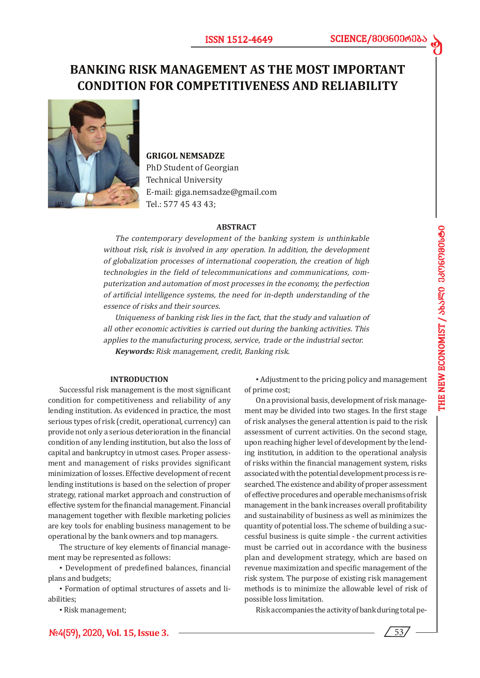d

# **BANKING RISK MANAGEMENT AS THE MOST IMPORTANT CONDITION FOR COMPETITIVENESS AND RELIABILITY**



# **GRIGOL NEMSADZE**

PhD Student of Georgian Technical University E-mail: giga.nemsadze@gmail.com Tel.: 577 45 43 43;

#### **ABSTRACT**

The contemporary development of the banking system is unthinkable without risk, risk is involved in any operation. In addition, the development of globalization processes of international cooperation, the creation of high technologies in the field of telecommunications and communications, computerization and automation of most processes in the economy, the perfection of artificial intelligence systems, the need for in-depth understanding of the essence of risks and their sources.

Uniqueness of banking risk lies in the fact, that the study and valuation of all other economic activities is carried out during the banking activities. This applies to the manufacturing process, service, trade or the industrial sector. **Keywords:** Risk management, credit, Banking risk.

### **INTRODUCTION**

Successful risk management is the most significant condition for competitiveness and reliability of any lending institution. As evidenced in practice, the most serious types of risk (credit, operational, currency) can provide not only a serious deterioration in the financial condition of any lending institution, but also the loss of capital and bankruptcy in utmost cases. Proper assessment and management of risks provides significant minimization of losses. Effective development of recent lending institutions is based on the selection of proper strategy, rational market approach and construction of effective system for the financial management. Financial management together with flexible marketing policies are key tools for enabling business management to be operational by the bank owners and top managers.

The structure of key elements of financial management may be represented as follows:

• Development of predefined balances, financial plans and budgets;

• Formation of optimal structures of assets and liabilities;

• Risk management;

**#4(59), 2020, Vol. 15, Issue 3.**

• Adjustment to the pricing policy and management of prime cost;

On a provisional basis, development of risk management may be divided into two stages. In the first stage of risk analyses the general attention is paid to the risk assessment of current activities. On the second stage, upon reaching higher level of development by the lending institution, in addition to the operational analysis of risks within the financial management system, risks associated with the potential development process is researched. The existence and ability of proper assessment of effective procedures and operable mechanisms of risk management in the bank increases overall profitability and sustainability of business as well as minimizes the quantity of potential loss. The scheme of building a successful business is quite simple - the current activities must be carried out in accordance with the business plan and development strategy, which are based on revenue maximization and specific management of the risk system. The purpose of existing risk management methods is to minimize the allowable level of risk of possible loss limitation.

Risk accompanies the activity of bank during total pe-

53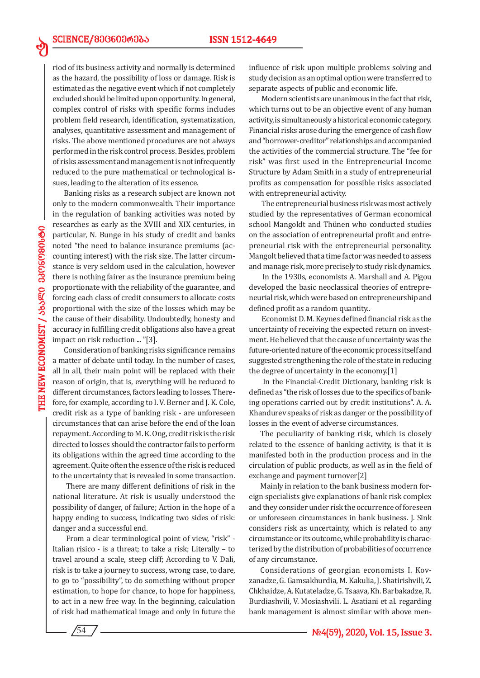riod of its business activity and normally is determined as the hazard, the possibility of loss or damage. Risk is estimated as the negative event which if not completely excluded should be limited upon opportunity. In general, complex control of risks with specific forms includes problem field research, identification, systematization, analyses, quantitative assessment and management of risks. The above mentioned procedures are not always performed in the risk control process. Besides, problem of risks assessment and management is not infrequently reduced to the pure mathematical or technological issues, leading to the alteration of its essence.

Banking risks as a research subject are known not only to the modern commonwealth. Their importance in the regulation of banking activities was noted by researches as early as the XVIII and XIX centuries, in particular, N. Bunge in his study of credit and banks noted "the need to balance insurance premiums (accounting interest) with the risk size. The latter circumstance is very seldom used in the calculation, however there is nothing fairer as the insurance premium being proportionate with the reliability of the guarantee, and forcing each class of credit consumers to allocate costs proportional with the size of the losses which may be the cause of their disability. Undoubtedly, honesty and accuracy in fulfilling credit obligations also have a great impact on risk reduction ... "[3].

Consideration of banking risks significance remains a matter of debate until today. In the number of cases, all in all, their main point will be replaced with their reason of origin, that is, everything will be reduced to different circumstances, factors leading to losses. Therefore, for example, according to I. V. Berner and J. K. Cole, credit risk as a type of banking risk - are unforeseen circumstances that can arise before the end of the loan repayment. According to M. K. Ong, credit risk is the risk directed to losses should the contractor fails to perform its obligations within the agreed time according to the agreement. Quite often the essence of the risk is reduced to the uncertainty that is revealed in some transaction.

 There are many different definitions of risk in the national literature. At risk is usually understood the possibility of danger, of failure; Action in the hope of a happy ending to success, indicating two sides of risk: danger and a successful end.

 From a clear terminological point of view, "risk" - Italian risico - is a threat; to take a risk; Literally – to travel around a scale, steep cliff; According to V. Dali, risk is to take a journey to success, wrong case, to dare, to go to "possibility", to do something without proper estimation, to hope for chance, to hope for happiness, to act in a new free way. In the beginning, calculation of risk had mathematical image and only in future the

influence of risk upon multiple problems solving and study decision as an optimal option were transferred to separate aspects of public and economic life.

 Modern scientists are unanimous in the fact that risk, which turns out to be an objective event of any human activity, is simultaneously a historical economic category. Financial risks arose during the emergence of cash flow and "borrower-creditor" relationships and accompanied the activities of the commercial structure. The "fee for risk" was first used in the Entrepreneurial Income Structure by Adam Smith in a study of entrepreneurial profits as compensation for possible risks associated with entrepreneurial activity.

 The entrepreneurial business risk was most actively studied by the representatives of German economical school Mangoldt and Thünen who conducted studies on the association of entrepreneurial profit and entrepreneurial risk with the entrepreneurial personality. Mangolt believed that a time factor was needed to assess and manage risk, more precisely to study risk dynamics.

 In the 1930s, economists A. Marshall and A. Pigou developed the basic neoclassical theories of entrepreneurial risk, which were based on entrepreneurship and defined profit as a random quantity..

 Economist D. M. Keynes defined financial risk as the uncertainty of receiving the expected return on investment. He believed that the cause of uncertainty was the future-oriented nature of the economic process itself and suggested strengthening the role of the state in reducing the degree of uncertainty in the economy.[1]

 In the Financial-Credit Dictionary, banking risk is defined as "the risk of losses due to the specifics of banking operations carried out by credit institutions". A. A. Khandurev speaks of risk as danger or the possibility of losses in the event of adverse circumstances.

The peculiarity of banking risk, which is closely related to the essence of banking activity, is that it is manifested both in the production process and in the circulation of public products, as well as in the field of exchange and payment turnover[2]

Mainly in relation to the bank business modern foreign specialists give explanations of bank risk complex and they consider under risk the occurrence of foreseen or unforeseen circumstances in bank business. J. Sink considers risk as uncertainty, which is related to any circumstance or its outcome, while probability is characterized by the distribution of probabilities of occurrence of any circumstance.

Considerations of georgian economists I. Kovzanadze, G. Gamsakhurdia, M. Kakulia, J. Shatirishvili, Z. Chkhaidze, A. Kutateladze, G. Tsaava, Kh. Barbakadze, R. Burdiashvili, V. Mosiashvili. L. Asatiani et al. regarding bank management is almost similar with above men-

ed

54 **#4(59), 2020, Vol. 15, Issue 3.**